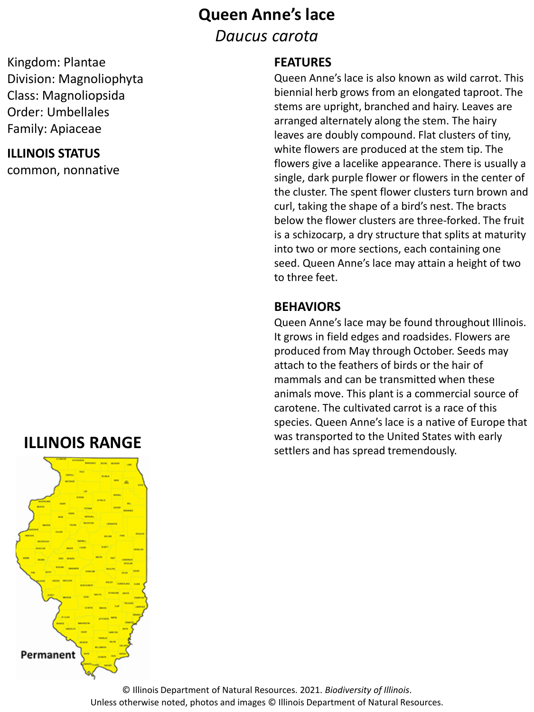# **Queen Anne's lace**

*Daucus carota*

## Kingdom: Plantae Division: Magnoliophyta Class: Magnoliopsida Order: Umbellales Family: Apiaceae

### **ILLINOIS STATUS**

common, nonnative

# **ILLINOIS RANGE**



### **FEATURES**

Queen Anne's lace is also known as wild carrot. This biennial herb grows from an elongated taproot. The stems are upright, branched and hairy. Leaves are arranged alternately along the stem. The hairy leaves are doubly compound. Flat clusters of tiny, white flowers are produced at the stem tip. The flowers give a lacelike appearance. There is usually a single, dark purple flower or flowers in the center of the cluster. The spent flower clusters turn brown and curl, taking the shape of a bird's nest. The bracts below the flower clusters are three-forked. The fruit is a schizocarp, a dry structure that splits at maturity into two or more sections, each containing one seed. Queen Anne's lace may attain a height of two to three feet.

## **BEHAVIORS**

Queen Anne's lace may be found throughout Illinois. It grows in field edges and roadsides. Flowers are produced from May through October. Seeds may attach to the feathers of birds or the hair of mammals and can be transmitted when these animals move. This plant is a commercial source of carotene. The cultivated carrot is a race of this species. Queen Anne's lace is a native of Europe that was transported to the United States with early settlers and has spread tremendously.

© Illinois Department of Natural Resources. 2021. *Biodiversity of Illinois*. Unless otherwise noted, photos and images © Illinois Department of Natural Resources.